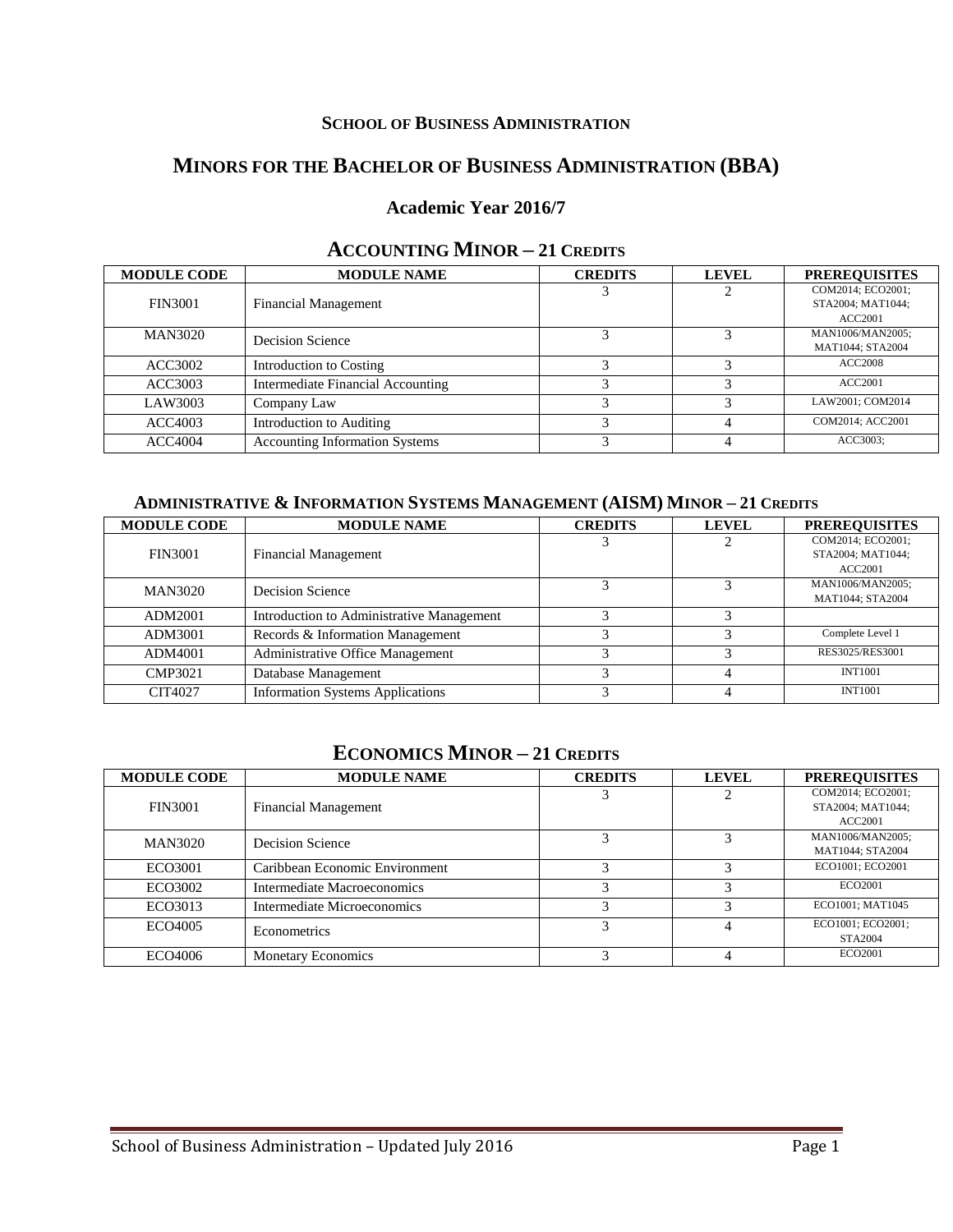### **SCHOOL OF BUSINESS ADMINISTRATION**

# **MINORS FOR THE BACHELOR OF BUSINESS ADMINISTRATION (BBA)**

## **Academic Year 2016/7**

| <b>MODULE CODE</b> | <b>MODULE NAME</b>                    | <b>CREDITS</b> | <b>LEVEL</b> | <b>PREREQUISITES</b> |
|--------------------|---------------------------------------|----------------|--------------|----------------------|
|                    |                                       |                |              | COM2014: ECO2001:    |
| <b>FIN3001</b>     | <b>Financial Management</b>           |                |              | STA2004; MAT1044;    |
|                    |                                       |                |              | <b>ACC2001</b>       |
| <b>MAN3020</b>     | Decision Science                      |                |              | MAN1006/MAN2005:     |
|                    |                                       |                |              | MAT1044; STA2004     |
| ACC3002            | Introduction to Costing               |                |              | <b>ACC2008</b>       |
| ACC3003            | Intermediate Financial Accounting     |                |              | <b>ACC2001</b>       |
| LAW3003            | Company Law                           | ◠              |              | LAW2001: COM2014     |
| ACC4003            | Introduction to Auditing              |                |              | COM2014: ACC2001     |
| <b>ACC4004</b>     | <b>Accounting Information Systems</b> |                |              | ACC3003:             |

## **ACCOUNTING MINOR – 21 CREDITS**

### **ADMINISTRATIVE & INFORMATION SYSTEMS MANAGEMENT (AISM) MINOR – 21 CREDITS**

| <b>MODULE CODE</b> | <b>MODULE NAME</b>                        | <b>CREDITS</b> | <b>LEVEL</b> | <b>PREREQUISITES</b> |
|--------------------|-------------------------------------------|----------------|--------------|----------------------|
|                    |                                           |                |              | COM2014: ECO2001:    |
| <b>FIN3001</b>     | <b>Financial Management</b>               |                |              | STA2004; MAT1044;    |
|                    |                                           |                |              | <b>ACC2001</b>       |
| <b>MAN3020</b>     | Decision Science                          |                |              | MAN1006/MAN2005:     |
|                    |                                           |                |              | MAT1044; STA2004     |
| ADM2001            | Introduction to Administrative Management |                |              |                      |
| ADM3001            | Records & Information Management          |                |              | Complete Level 1     |
| ADM4001            | Administrative Office Management          |                |              | RES3025/RES3001      |
| <b>CMP3021</b>     | Database Management                       |                |              | <b>INT1001</b>       |
| CIT4027            | <b>Information Systems Applications</b>   |                |              | <b>INT1001</b>       |

### **ECONOMICS MINOR – 21 CREDITS**

| <b>MODULE CODE</b> | <b>MODULE NAME</b>             | <b>CREDITS</b> | <b>LEVEL</b> | <b>PREREOUISITES</b> |
|--------------------|--------------------------------|----------------|--------------|----------------------|
|                    |                                |                |              | COM2014: ECO2001:    |
| <b>FIN3001</b>     | <b>Financial Management</b>    |                |              | STA2004: MAT1044:    |
|                    |                                |                |              | <b>ACC2001</b>       |
| <b>MAN3020</b>     | Decision Science               |                |              | MAN1006/MAN2005:     |
|                    |                                |                |              | MAT1044; STA2004     |
| ECO3001            | Caribbean Economic Environment |                |              | ECO1001: ECO2001     |
| ECO3002            | Intermediate Macroeconomics    |                | 3            | ECO2001              |
| ECO3013            | Intermediate Microeconomics    |                |              | ECO1001: MAT1045     |
| ECO4005            | <b>Econometrics</b>            |                |              | ECO1001; ECO2001;    |
|                    |                                |                |              | STA2004              |
| ECO4006            | <b>Monetary Economics</b>      |                |              | ECO2001              |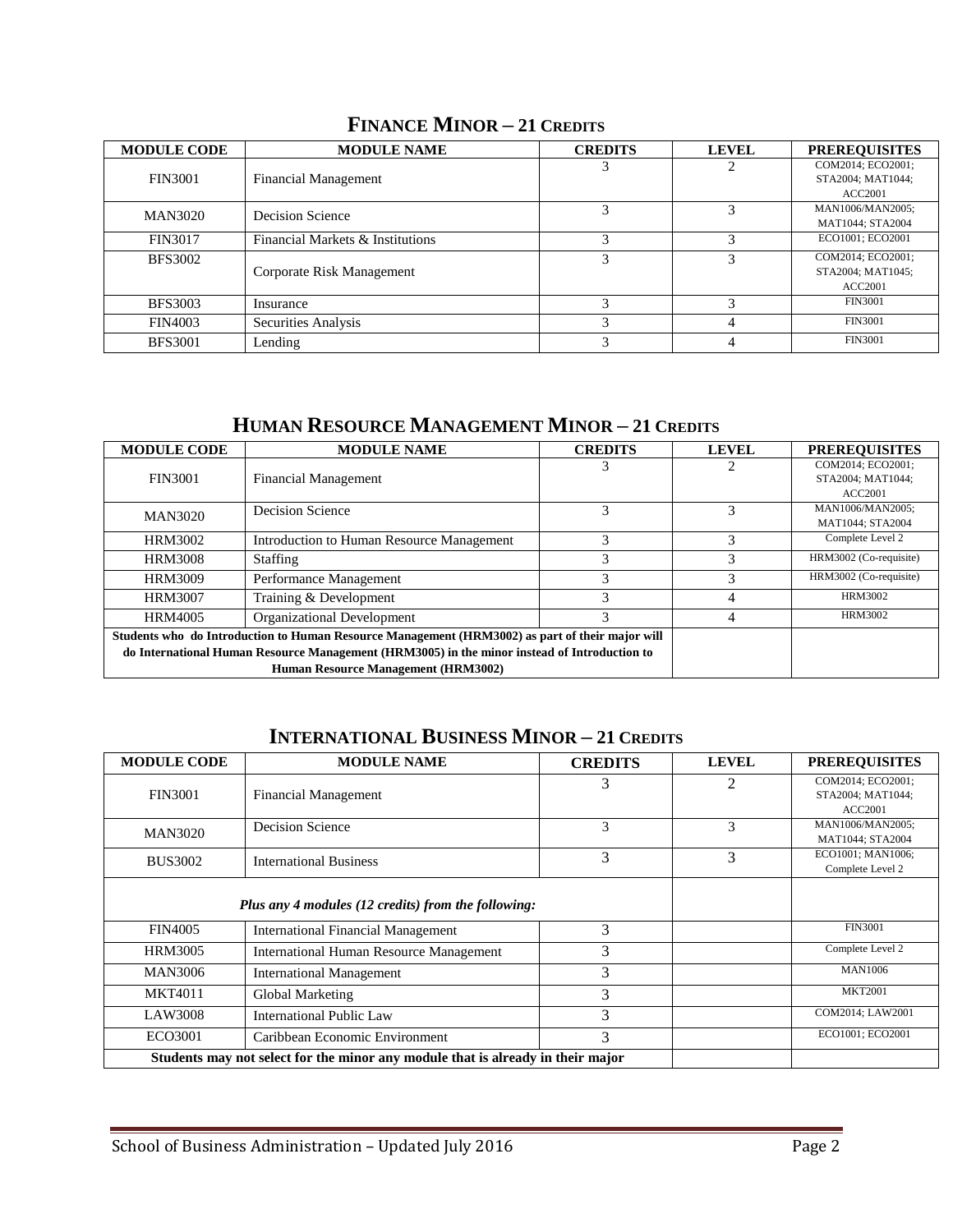| <b>MODULE CODE</b> | <b>MODULE NAME</b>               | <b>CREDITS</b> | <b>LEVEL</b> | <b>PREREOUISITES</b>                   |
|--------------------|----------------------------------|----------------|--------------|----------------------------------------|
| <b>FIN3001</b>     | <b>Financial Management</b>      |                |              | COM2014: ECO2001:<br>STA2004; MAT1044; |
|                    |                                  |                |              | ACC2001                                |
| <b>MAN3020</b>     | Decision Science                 |                |              | MAN1006/MAN2005;                       |
|                    |                                  |                |              | MAT1044; STA2004                       |
| <b>FIN3017</b>     | Financial Markets & Institutions | 3              |              | ECO1001: ECO2001                       |
| <b>BFS3002</b>     |                                  |                |              | COM2014: ECO2001:                      |
|                    | Corporate Risk Management        |                |              | STA2004; MAT1045;                      |
|                    |                                  |                |              | <b>ACC2001</b>                         |
| <b>BFS3003</b>     | Insurance                        |                |              | <b>FIN3001</b>                         |
| <b>FIN4003</b>     | Securities Analysis              |                |              | <b>FIN3001</b>                         |
| <b>BFS3001</b>     | Lending                          |                |              | <b>FIN3001</b>                         |

## **FINANCE MINOR – 21 CREDITS**

# **HUMAN RESOURCE MANAGEMENT MINOR – 21 CREDITS**

| <b>MODULE CODE</b>                                                                                                                  | <b>MODULE NAME</b>                                                                              | <b>CREDITS</b> | <b>LEVEL</b> | <b>PREREOUISITES</b>                                     |
|-------------------------------------------------------------------------------------------------------------------------------------|-------------------------------------------------------------------------------------------------|----------------|--------------|----------------------------------------------------------|
| <b>FIN3001</b>                                                                                                                      | <b>Financial Management</b>                                                                     |                |              | COM2014; ECO2001;<br>STA2004; MAT1044;<br><b>ACC2001</b> |
| <b>MAN3020</b>                                                                                                                      | Decision Science                                                                                |                | 3            | MAN1006/MAN2005;<br>MAT1044; STA2004                     |
| HRM3002                                                                                                                             | Introduction to Human Resource Management                                                       | 3              | 3            | Complete Level 2                                         |
| <b>HRM3008</b>                                                                                                                      | Staffing                                                                                        | 3              | 3            | HRM3002 (Co-requisite)                                   |
| <b>HRM3009</b>                                                                                                                      | Performance Management                                                                          | 3              | 3            | HRM3002 (Co-requisite)                                   |
| <b>HRM3007</b>                                                                                                                      | Training & Development                                                                          | 3              |              | HRM3002                                                  |
| HRM4005                                                                                                                             | Organizational Development                                                                      |                | 4            | HRM3002                                                  |
|                                                                                                                                     | Students who do Introduction to Human Resource Management (HRM3002) as part of their major will |                |              |                                                          |
| do International Human Resource Management (HRM3005) in the minor instead of Introduction to<br>Human Resource Management (HRM3002) |                                                                                                 |                |              |                                                          |

# **INTERNATIONAL BUSINESS MINOR – 21 CREDITS**

| <b>MODULE CODE</b> | <b>MODULE NAME</b>                                                              | <b>CREDITS</b> | <b>LEVEL</b> | <b>PREREQUISITES</b>                                     |
|--------------------|---------------------------------------------------------------------------------|----------------|--------------|----------------------------------------------------------|
| <b>FIN3001</b>     | <b>Financial Management</b>                                                     | 3              | 2            | COM2014; ECO2001;<br>STA2004; MAT1044;<br><b>ACC2001</b> |
| <b>MAN3020</b>     | Decision Science                                                                | 3              | 3            | MAN1006/MAN2005;<br>MAT1044; STA2004                     |
| <b>BUS3002</b>     | <b>International Business</b>                                                   | 3              | 3            | ECO1001; MAN1006;<br>Complete Level 2                    |
|                    | Plus any 4 modules (12 credits) from the following:                             |                |              |                                                          |
| <b>FIN4005</b>     | <b>International Financial Management</b>                                       | 3              |              | <b>FIN3001</b>                                           |
| <b>HRM3005</b>     | <b>International Human Resource Management</b>                                  | 3              |              | Complete Level 2                                         |
| <b>MAN3006</b>     | <b>International Management</b>                                                 | 3              |              | <b>MAN1006</b>                                           |
| <b>MKT4011</b>     | Global Marketing                                                                | 3              |              | <b>MKT2001</b>                                           |
| LAW3008            | <b>International Public Law</b>                                                 | 3              |              | COM2014; LAW2001                                         |
| ECO3001            | Caribbean Economic Environment                                                  | 3              |              | ECO1001; ECO2001                                         |
|                    | Students may not select for the minor any module that is already in their major |                |              |                                                          |